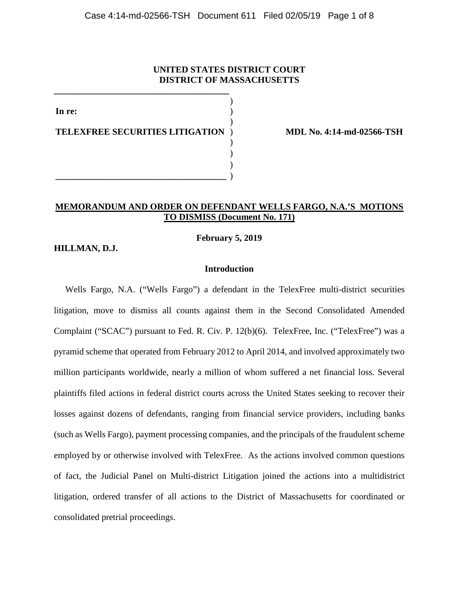# **UNITED STATES DISTRICT COURT DISTRICT OF MASSACHUSETTS**

**In re: TELEXFREE SECURITIES LITIGATION** ) ) ) ) ) ) ) **\_\_\_\_\_\_\_\_\_\_\_\_\_\_\_\_\_\_\_\_\_\_\_\_\_\_\_\_\_\_\_\_\_\_\_\_\_\_** )

**\_\_\_\_\_\_\_\_\_\_\_\_\_\_\_\_\_\_\_\_\_\_\_\_\_\_\_\_\_\_\_\_\_\_\_\_\_\_\_**

 **MDL No. 4:14-md-02566-TSH**

# **MEMORANDUM AND ORDER ON DEFENDANT WELLS FARGO, N.A.'S MOTIONS TO DISMISS (Document No. 171)**

**February 5, 2019**

**HILLMAN, D.J.**

## **Introduction**

 Wells Fargo, N.A. ("Wells Fargo") a defendant in the TelexFree multi-district securities litigation, move to dismiss all counts against them in the Second Consolidated Amended Complaint ("SCAC") pursuant to Fed. R. Civ. P. 12(b)(6). TelexFree, Inc. ("TelexFree") was a pyramid scheme that operated from February 2012 to April 2014, and involved approximately two million participants worldwide, nearly a million of whom suffered a net financial loss. Several plaintiffs filed actions in federal district courts across the United States seeking to recover their losses against dozens of defendants, ranging from financial service providers, including banks (such as Wells Fargo), payment processing companies, and the principals of the fraudulent scheme employed by or otherwise involved with TelexFree. As the actions involved common questions of fact, the Judicial Panel on Multi-district Litigation joined the actions into a multidistrict litigation, ordered transfer of all actions to the District of Massachusetts for coordinated or consolidated pretrial proceedings.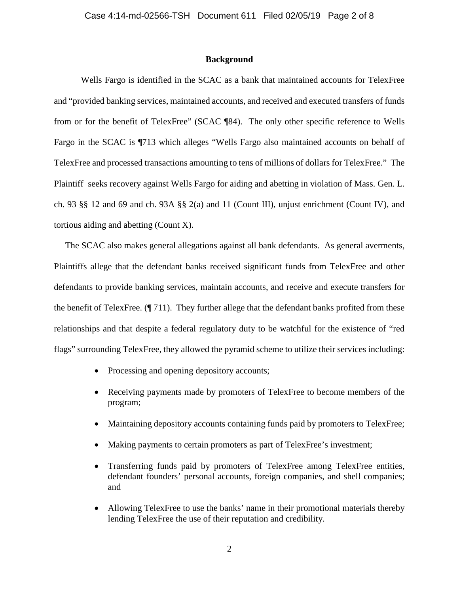## **Background**

Wells Fargo is identified in the SCAC as a bank that maintained accounts for TelexFree and "provided banking services, maintained accounts, and received and executed transfers of funds from or for the benefit of TelexFree" (SCAC ¶84). The only other specific reference to Wells Fargo in the SCAC is ¶713 which alleges "Wells Fargo also maintained accounts on behalf of TelexFree and processed transactions amounting to tens of millions of dollars for TelexFree." The Plaintiff seeks recovery against Wells Fargo for aiding and abetting in violation of Mass. Gen. L. ch. 93 §§ 12 and 69 and ch. 93A §§ 2(a) and 11 (Count III), unjust enrichment (Count IV), and tortious aiding and abetting (Count X).

 The SCAC also makes general allegations against all bank defendants. As general averments, Plaintiffs allege that the defendant banks received significant funds from TelexFree and other defendants to provide banking services, maintain accounts, and receive and execute transfers for the benefit of TelexFree. (¶ 711). They further allege that the defendant banks profited from these relationships and that despite a federal regulatory duty to be watchful for the existence of "red flags" surrounding TelexFree, they allowed the pyramid scheme to utilize their services including:

- Processing and opening depository accounts;
- Receiving payments made by promoters of TelexFree to become members of the program;
- Maintaining depository accounts containing funds paid by promoters to TelexFree;
- Making payments to certain promoters as part of TelexFree's investment;
- Transferring funds paid by promoters of TelexFree among TelexFree entities, defendant founders' personal accounts, foreign companies, and shell companies; and
- Allowing TelexFree to use the banks' name in their promotional materials thereby lending TelexFree the use of their reputation and credibility.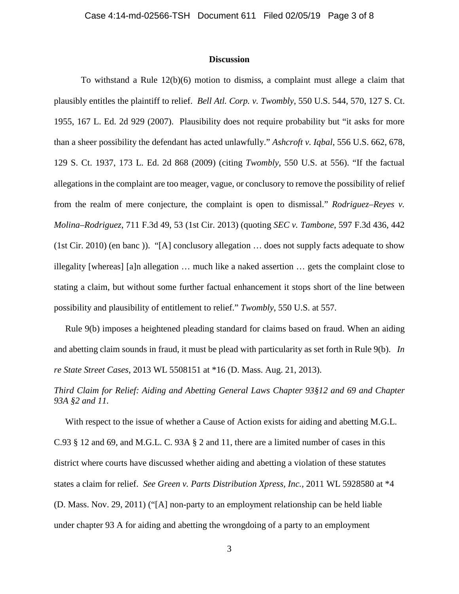### **Discussion**

To withstand a Rule 12(b)(6) motion to dismiss, a complaint must allege a claim that plausibly entitles the plaintiff to relief. *Bell Atl. Corp. v. Twombly*, 550 U.S. 544, 570, 127 S. Ct. 1955, 167 L. Ed. 2d 929 (2007). Plausibility does not require probability but "it asks for more than a sheer possibility the defendant has acted unlawfully." *Ashcroft v. Iqbal*, 556 U.S. 662, 678, 129 S. Ct. 1937, 173 L. Ed. 2d 868 (2009) (citing *Twombly*, 550 U.S. at 556). "If the factual allegations in the complaint are too meager, vague, or conclusory to remove the possibility of relief from the realm of mere conjecture, the complaint is open to dismissal." *Rodriguez–Reyes v. Molina–Rodriguez*, 711 F.3d 49, 53 (1st Cir. 2013) (quoting *SEC v. Tambone*, 597 F.3d 436, 442 (1st Cir. 2010) (en banc )). "[A] conclusory allegation … does not supply facts adequate to show illegality [whereas] [a]n allegation … much like a naked assertion … gets the complaint close to stating a claim, but without some further factual enhancement it stops short of the line between possibility and plausibility of entitlement to relief." *Twombly*, 550 U.S. at 557.

 Rule 9(b) imposes a heightened pleading standard for claims based on fraud. When an aiding and abetting claim sounds in fraud, it must be plead with particularity as set forth in Rule 9(b). *In re State Street Cases*, 2013 WL 5508151 at \*16 (D. Mass. Aug. 21, 2013).

*Third Claim for Relief: Aiding and Abetting General Laws Chapter 93§12 and 69 and Chapter 93A §2 and 11.* 

 With respect to the issue of whether a Cause of Action exists for aiding and abetting M.G.L. C.93 § 12 and 69, and M.G.L. C. 93A § 2 and 11, there are a limited number of cases in this district where courts have discussed whether aiding and abetting a violation of these statutes states a claim for relief. *See Green v. Parts Distribution Xpress, Inc.,* 2011 WL 5928580 at \*4 (D. Mass. Nov. 29, 2011) ("[A] non-party to an employment relationship can be held liable under chapter 93 A for aiding and abetting the wrongdoing of a party to an employment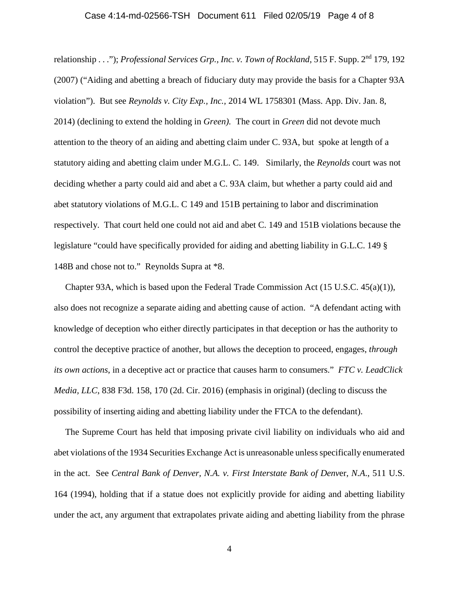### Case 4:14-md-02566-TSH Document 611 Filed 02/05/19 Page 4 of 8

relationship . . ."); *Professional Services Grp., Inc. v. Town of Rockland*, 515 F. Supp. 2<sup>nd</sup> 179, 192 (2007) ("Aiding and abetting a breach of fiduciary duty may provide the basis for a Chapter 93A violation"). But see *Reynolds v. City Exp., Inc.,* 2014 WL 1758301 (Mass. App. Div. Jan. 8, 2014) (declining to extend the holding in *Green).* The court in *Green* did not devote much attention to the theory of an aiding and abetting claim under C. 93A, but spoke at length of a statutory aiding and abetting claim under M.G.L. C. 149. Similarly, the *Reynolds* court was not deciding whether a party could aid and abet a C. 93A claim, but whether a party could aid and abet statutory violations of M.G.L. C 149 and 151B pertaining to labor and discrimination respectively. That court held one could not aid and abet C. 149 and 151B violations because the legislature "could have specifically provided for aiding and abetting liability in G.L.C. 149 § 148B and chose not to." Reynolds Supra at \*8.

 Chapter 93A, which is based upon the Federal Trade Commission Act (15 U.S.C. 45(a)(1)), also does not recognize a separate aiding and abetting cause of action. "A defendant acting with knowledge of deception who either directly participates in that deception or has the authority to control the deceptive practice of another, but allows the deception to proceed, engages, *through its own actions*, in a deceptive act or practice that causes harm to consumers." *FTC v. LeadClick Media, LLC*, 838 F3d. 158, 170 (2d. Cir. 2016) (emphasis in original) (decling to discuss the possibility of inserting aiding and abetting liability under the FTCA to the defendant).

 The Supreme Court has held that imposing private civil liability on individuals who aid and abet violations of the 1934 Securities Exchange Act is unreasonable unless specifically enumerated in the act. See *Central Bank of Denver, N.A. v. First Interstate Bank of Denv*er, *N.A*., 511 U.S. 164 (1994), holding that if a statue does not explicitly provide for aiding and abetting liability under the act, any argument that extrapolates private aiding and abetting liability from the phrase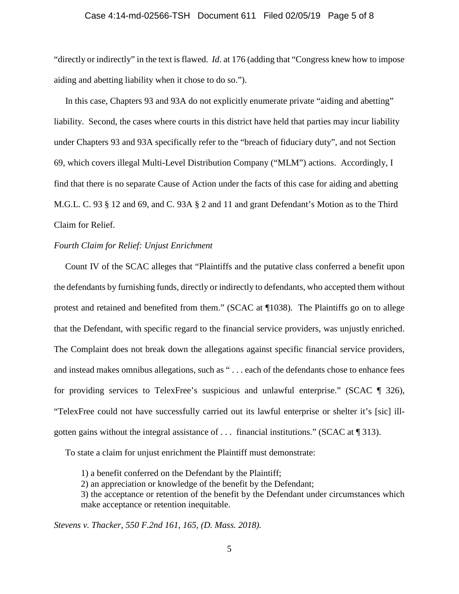#### Case 4:14-md-02566-TSH Document 611 Filed 02/05/19 Page 5 of 8

"directly or indirectly" in the text is flawed. *Id*. at 176 (adding that "Congress knew how to impose aiding and abetting liability when it chose to do so.").

 In this case, Chapters 93 and 93A do not explicitly enumerate private "aiding and abetting" liability. Second, the cases where courts in this district have held that parties may incur liability under Chapters 93 and 93A specifically refer to the "breach of fiduciary duty", and not Section 69, which covers illegal Multi-Level Distribution Company ("MLM") actions. Accordingly, I find that there is no separate Cause of Action under the facts of this case for aiding and abetting M.G.L. C. 93 § 12 and 69, and C. 93A § 2 and 11 and grant Defendant's Motion as to the Third Claim for Relief.

## *Fourth Claim for Relief: Unjust Enrichment*

 Count IV of the SCAC alleges that "Plaintiffs and the putative class conferred a benefit upon the defendants by furnishing funds, directly or indirectly to defendants, who accepted them without protest and retained and benefited from them." (SCAC at ¶1038). The Plaintiffs go on to allege that the Defendant, with specific regard to the financial service providers, was unjustly enriched. The Complaint does not break down the allegations against specific financial service providers, and instead makes omnibus allegations, such as " . . . each of the defendants chose to enhance fees for providing services to TelexFree's suspicious and unlawful enterprise." (SCAC ¶ 326), "TelexFree could not have successfully carried out its lawful enterprise or shelter it's [sic] illgotten gains without the integral assistance of . . . financial institutions." (SCAC at ¶ 313).

To state a claim for unjust enrichment the Plaintiff must demonstrate:

1) a benefit conferred on the Defendant by the Plaintiff;

2) an appreciation or knowledge of the benefit by the Defendant;

3) the acceptance or retention of the benefit by the Defendant under circumstances which make acceptance or retention inequitable.

*Stevens v. Thacker, 550 F.2nd 161, 165, (D. Mass. 2018).*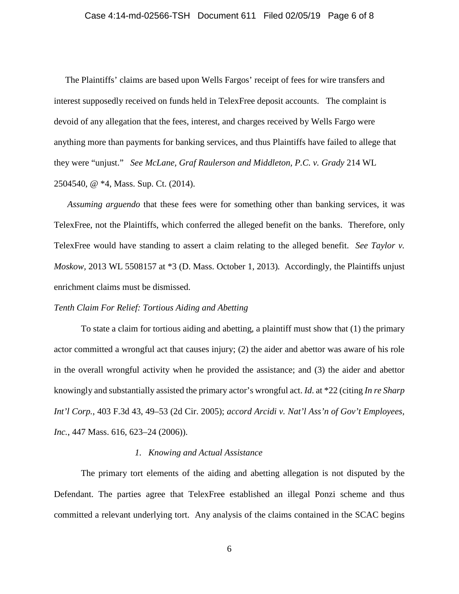## Case 4:14-md-02566-TSH Document 611 Filed 02/05/19 Page 6 of 8

 The Plaintiffs' claims are based upon Wells Fargos' receipt of fees for wire transfers and interest supposedly received on funds held in TelexFree deposit accounts. The complaint is devoid of any allegation that the fees, interest, and charges received by Wells Fargo were anything more than payments for banking services, and thus Plaintiffs have failed to allege that they were "unjust." *See McLane, Graf Raulerson and Middleton, P.C. v. Grady* 214 WL 2504540, @ \*4, Mass. Sup. Ct. (2014).

 *Assuming arguendo* that these fees were for something other than banking services, it was TelexFree, not the Plaintiffs, which conferred the alleged benefit on the banks. Therefore, only TelexFree would have standing to assert a claim relating to the alleged benefit. *See Taylor v. Moskow,* 2013 WL 5508157 at \*3 (D. Mass. October 1, 2013)*.* Accordingly, the Plaintiffs unjust enrichment claims must be dismissed.

#### *Tenth Claim For Relief: Tortious Aiding and Abetting*

To state a claim for tortious aiding and abetting, a plaintiff must show that (1) the primary actor committed a wrongful act that causes injury; (2) the aider and abettor was aware of his role in the overall wrongful activity when he provided the assistance; and (3) the aider and abettor knowingly and substantially assisted the primary actor's wrongful act. *Id*. at \*22 (citing *In re Sharp Int'l Corp.*, 403 F.3d 43, 49–53 (2d Cir. 2005); *accord Arcidi v. Nat'l Ass'n of Gov't Employees, Inc.*, 447 Mass. 616, 623–24 (2006)).

### *1. Knowing and Actual Assistance*

The primary tort elements of the aiding and abetting allegation is not disputed by the Defendant. The parties agree that TelexFree established an illegal Ponzi scheme and thus committed a relevant underlying tort. Any analysis of the claims contained in the SCAC begins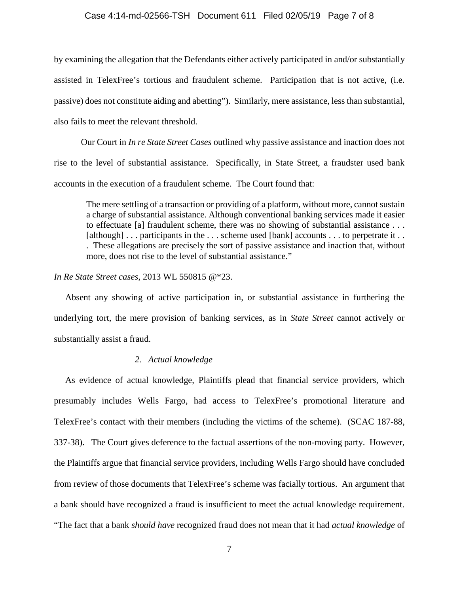### Case 4:14-md-02566-TSH Document 611 Filed 02/05/19 Page 7 of 8

by examining the allegation that the Defendants either actively participated in and/or substantially assisted in TelexFree's tortious and fraudulent scheme. Participation that is not active, (i.e. passive) does not constitute aiding and abetting"). Similarly, mere assistance, less than substantial, also fails to meet the relevant threshold.

 Our Court in *In re State Street Cases* outlined why passive assistance and inaction does not rise to the level of substantial assistance. Specifically, in State Street, a fraudster used bank accounts in the execution of a fraudulent scheme. The Court found that:

The mere settling of a transaction or providing of a platform, without more, cannot sustain a charge of substantial assistance. Although conventional banking services made it easier to effectuate [a] fraudulent scheme, there was no showing of substantial assistance . . . [although] . . . participants in the . . . scheme used [bank] accounts . . . to perpetrate it . . . These allegations are precisely the sort of passive assistance and inaction that, without more, does not rise to the level of substantial assistance."

*In Re State Street cases*, 2013 WL 550815 @\*23.

 Absent any showing of active participation in, or substantial assistance in furthering the underlying tort, the mere provision of banking services, as in *State Street* cannot actively or substantially assist a fraud.

## *2. Actual knowledge*

 As evidence of actual knowledge, Plaintiffs plead that financial service providers, which presumably includes Wells Fargo, had access to TelexFree's promotional literature and TelexFree's contact with their members (including the victims of the scheme). (SCAC 187-88, 337-38). The Court gives deference to the factual assertions of the non-moving party. However, the Plaintiffs argue that financial service providers, including Wells Fargo should have concluded from review of those documents that TelexFree's scheme was facially tortious. An argument that a bank should have recognized a fraud is insufficient to meet the actual knowledge requirement. "The fact that a bank *should have* recognized fraud does not mean that it had *actual knowledge* of